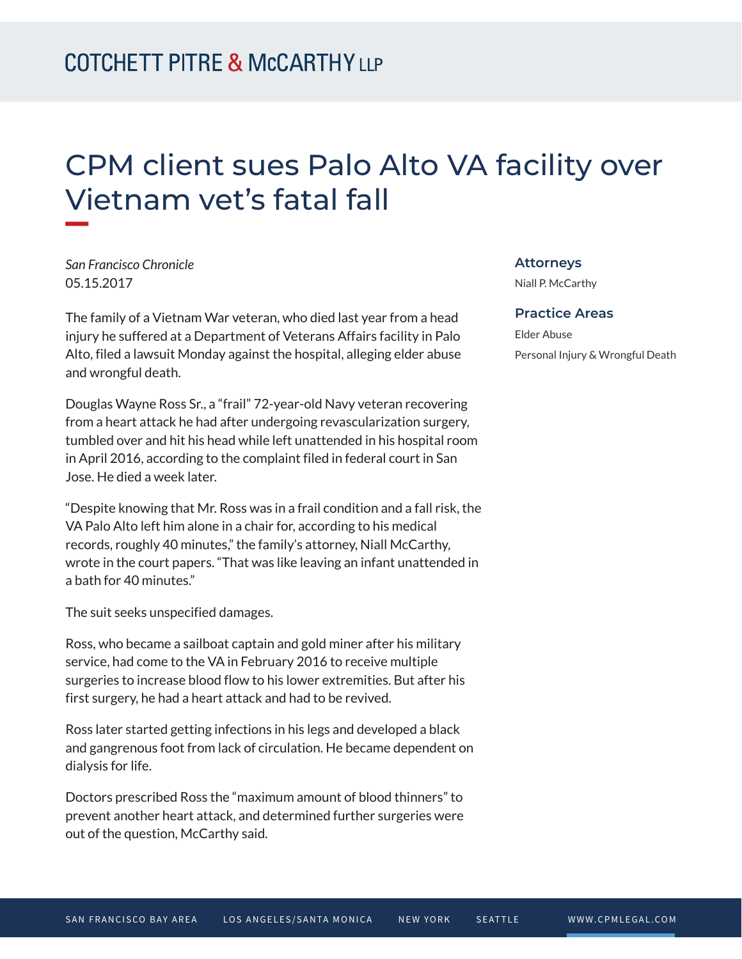# CPM client sues Palo Alto VA facility over Vietnam vet's fatal fall

*San Francisco Chronicle* 05.15.2017

**William** 

The family of a Vietnam War veteran, who died last year from a head injury he suffered at a Department of Veterans Affairs facility in Palo Alto, filed a lawsuit Monday against the hospital, alleging elder abuse and wrongful death.

Douglas Wayne Ross Sr., a "frail" 72-year-old Navy veteran recovering from a heart attack he had after undergoing revascularization surgery, tumbled over and hit his head while left unattended in his hospital room in April 2016, according to the complaint filed in federal court in San Jose. He died a week later.

"Despite knowing that Mr. Ross was in a frail condition and a fall risk, the VA Palo Alto left him alone in a chair for, according to his medical records, roughly 40 minutes," the family's attorney, Niall McCarthy, wrote in the court papers. "That was like leaving an infant unattended in a bath for 40 minutes."

The suit seeks unspecified damages.

Ross, who became a sailboat captain and gold miner after his military service, had come to the VA in February 2016 to receive multiple surgeries to increase blood flow to his lower extremities. But after his first surgery, he had a heart attack and had to be revived.

Ross later started getting infections in his legs and developed a black and gangrenous foot from lack of circulation. He became dependent on dialysis for life.

Doctors prescribed Ross the "maximum amount of blood thinners" to prevent another heart attack, and determined further surgeries were out of the question, McCarthy said.

### **Attorneys**

Niall P. McCarthy

#### **Practice Areas**

Elder Abuse Personal Injury & Wrongful Death